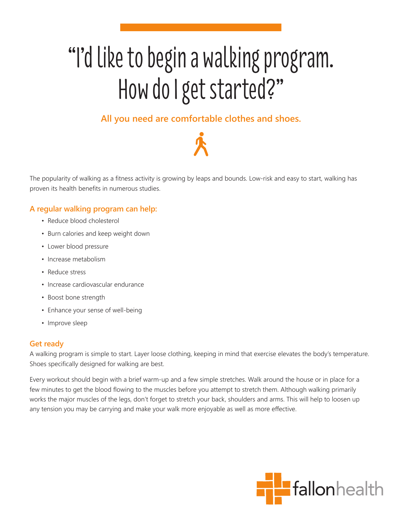# "I'd like to begin a walking program. How do I get started?"

## **All you need are comfortable clothes and shoes.**

The popularity of walking as a fitness activity is growing by leaps and bounds. Low-risk and easy to start, walking has proven its health benefits in numerous studies.

### **A regular walking program can help:**

- Reduce blood cholesterol
- Burn calories and keep weight down
- Lower blood pressure
- Increase metabolism
- Reduce stress
- Increase cardiovascular endurance
- Boost bone strength
- Enhance your sense of well-being
- Improve sleep

#### **Get ready**

A walking program is simple to start. Layer loose clothing, keeping in mind that exercise elevates the body's temperature. Shoes specifically designed for walking are best.

Every workout should begin with a brief warm-up and a few simple stretches. Walk around the house or in place for a few minutes to get the blood flowing to the muscles before you attempt to stretch them. Although walking primarily works the major muscles of the legs, don't forget to stretch your back, shoulders and arms. This will help to loosen up any tension you may be carrying and make your walk more enjoyable as well as more effective.